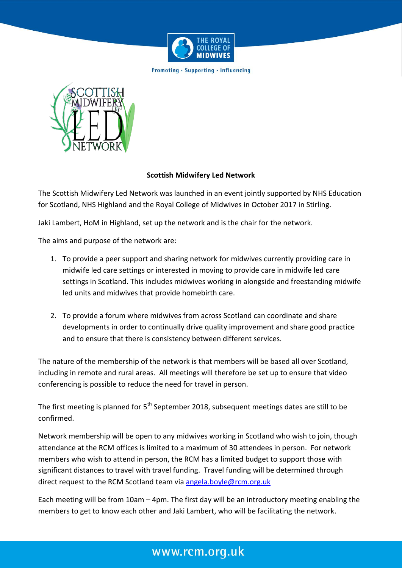

**Promoting · Supporting · Influencing** 



## **Scottish Midwifery Led Network**

The Scottish Midwifery Led Network was launched in an event jointly supported by NHS Education for Scotland, NHS Highland and the Royal College of Midwives in October 2017 in Stirling.

Jaki Lambert, HoM in Highland, set up the network and is the chair for the network.

The aims and purpose of the network are:

- 1. To provide a peer support and sharing network for midwives currently providing care in midwife led care settings or interested in moving to provide care in midwife led care settings in Scotland. This includes midwives working in alongside and freestanding midwife led units and midwives that provide homebirth care.
- 2. To provide a forum where midwives from across Scotland can coordinate and share developments in order to continually drive quality improvement and share good practice and to ensure that there is consistency between different services.

The nature of the membership of the network is that members will be based all over Scotland, including in remote and rural areas. All meetings will therefore be set up to ensure that video conferencing is possible to reduce the need for travel in person.

The first meeting is planned for 5<sup>th</sup> September 2018, subsequent meetings dates are still to be confirmed.

Network membership will be open to any midwives working in Scotland who wish to join, though attendance at the RCM offices is limited to a maximum of 30 attendees in person. For network members who wish to attend in person, the RCM has a limited budget to support those with significant distances to travel with travel funding. Travel funding will be determined through direct request to the RCM Scotland team via [angela.boyle@rcm.org.uk](mailto:angela.boyle@rcm.org.uk)

Each meeting will be from 10am – 4pm. The first day will be an introductory meeting enabling the members to get to know each other and Jaki Lambert, who will be facilitating the network.

## www.rcm.org.uk